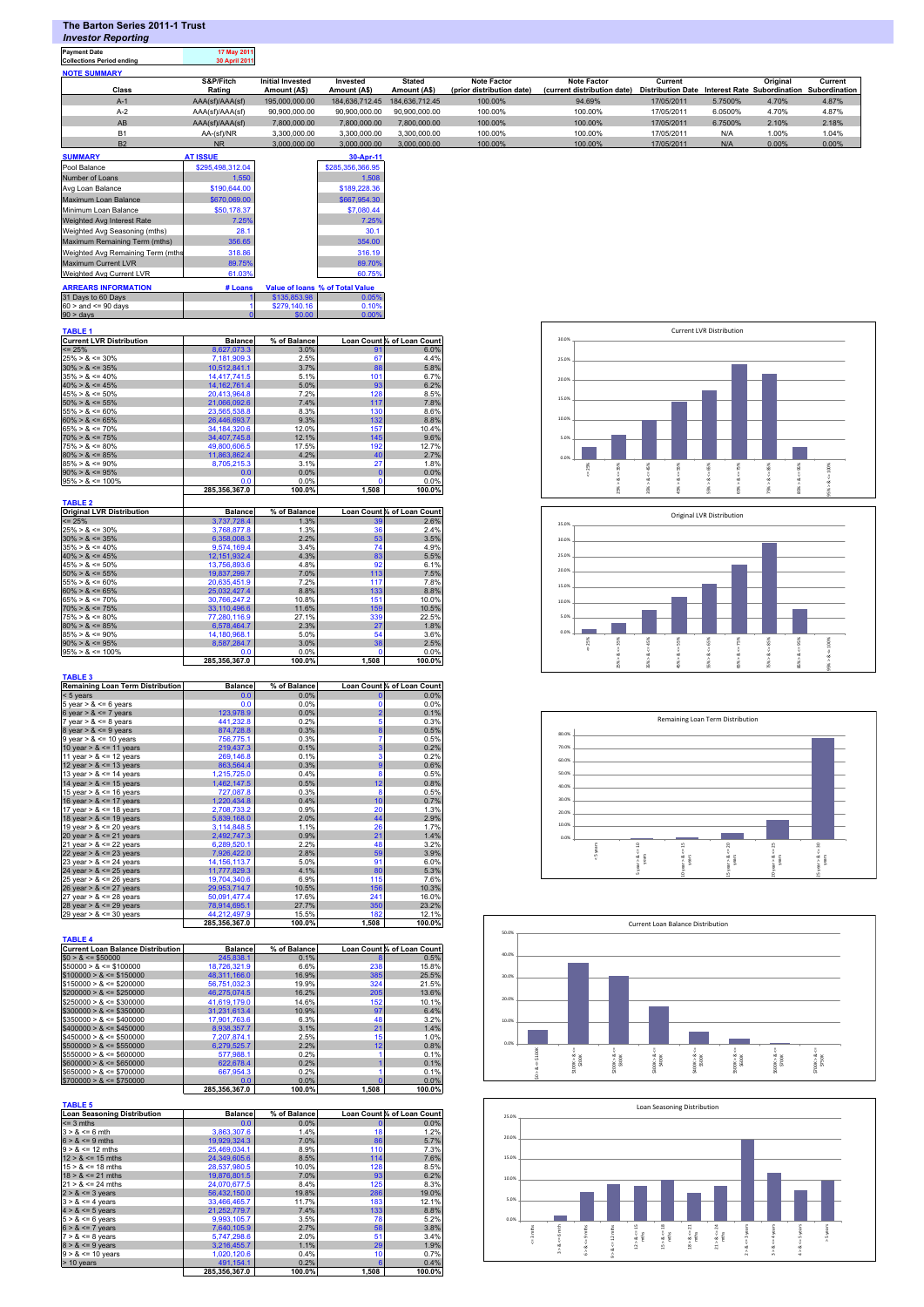| <b>NOTE SUMMARY</b>                                                                                                                                           |                                     |                                                 |                               |                               |                                                 |                                                                                                           |                                                |                                  |                       |                             |
|---------------------------------------------------------------------------------------------------------------------------------------------------------------|-------------------------------------|-------------------------------------------------|-------------------------------|-------------------------------|-------------------------------------------------|-----------------------------------------------------------------------------------------------------------|------------------------------------------------|----------------------------------|-----------------------|-----------------------------|
| Class                                                                                                                                                         | S&P/Fitch<br>Rating                 | <b>Initial Invested</b><br>Amount (A\$)         | Invested<br>Amount (A\$)      | <b>Stated</b><br>Amount (A\$) | <b>Note Factor</b><br>(prior distribution date) | <b>Note Factor</b><br>(current distribution date) Distribution Date Interest Rate Subordination Subordina | Current                                        |                                  | Original              | Currer                      |
| $A-1$                                                                                                                                                         | AAA(sf)/AAA(sf)                     | 195,000,000.00                                  | 184,636,712.45                | 184,636,712.45                | 100.00%                                         | 94.69%                                                                                                    | 17/05/2011                                     | 5.7500%                          | 4.70%                 | 4.87%                       |
| $A-2$                                                                                                                                                         | AAA(sf)/AAA(sf)                     | 90,900,000.00                                   | 90,900,000.00                 | 90,900,000.00                 | 100.00%                                         | 100.00%                                                                                                   | 17/05/2011<br>17/05/2011                       | 6.0500%                          | 4.70%                 | 4.87%                       |
| AB<br><b>B1</b>                                                                                                                                               | AAA(sf)/AAA(sf)<br>AA-(sf)/NR       | 7,800,000.00<br>3,300,000.00                    | 7,800,000.00<br>3,300,000.00  | 7,800,000.00<br>3,300,000.00  | 100.00%<br>100.00%                              | 100.00%<br>100.00%                                                                                        | 17/05/2011                                     | 6.7500%<br>N/A                   | 2.10%<br>1.00%        | 2.18%<br>1.04%              |
| B <sub>2</sub>                                                                                                                                                | <b>NR</b>                           | 3,000,000.00                                    | 3,000,000.00                  | 3,000,000.00                  | 100.00%                                         | 100.00%                                                                                                   | 17/05/2011                                     | N/A                              | 0.00%                 | 0.00%                       |
| <b>SUMMARY</b>                                                                                                                                                | <b>AT ISSUE</b><br>\$295,498,312.04 |                                                 | 30-Apr-11<br>\$285,356,366.95 |                               |                                                 |                                                                                                           |                                                |                                  |                       |                             |
| Pool Balance<br>Number of Loans                                                                                                                               | 1,550                               |                                                 | 1,508                         |                               |                                                 |                                                                                                           |                                                |                                  |                       |                             |
| Avg Loan Balance                                                                                                                                              | \$190,644.00                        |                                                 | \$189,228.36                  |                               |                                                 |                                                                                                           |                                                |                                  |                       |                             |
| Maximum Loan Balance<br>Minimum Loan Balance                                                                                                                  | \$670,069.00<br>\$50,178.37         |                                                 | \$667,954.30<br>\$7,080.44    |                               |                                                 |                                                                                                           |                                                |                                  |                       |                             |
| Weighted Avg Interest Rate                                                                                                                                    | 7.25%                               |                                                 | 7.25%                         |                               |                                                 |                                                                                                           |                                                |                                  |                       |                             |
| Weighted Avg Seasoning (mths)                                                                                                                                 | 28.1                                |                                                 | 30.1                          |                               |                                                 |                                                                                                           |                                                |                                  |                       |                             |
| Maximum Remaining Term (mths)<br>Weighted Avg Remaining Term (mths                                                                                            | 356.65<br>318.86                    |                                                 | 354.00<br>316.19              |                               |                                                 |                                                                                                           |                                                |                                  |                       |                             |
| Maximum Current LVR                                                                                                                                           | 89.75%                              |                                                 | 89.70%                        |                               |                                                 |                                                                                                           |                                                |                                  |                       |                             |
| Weighted Avg Current LVR                                                                                                                                      | 61.03%                              |                                                 | 60.75%                        |                               |                                                 |                                                                                                           |                                                |                                  |                       |                             |
| <b>ARREARS INFORMATION</b><br>31 Days to 60 Days                                                                                                              | # Loans                             | Value of loans % of Total Value<br>\$135,853.98 | 0.05%                         |                               |                                                 |                                                                                                           |                                                |                                  |                       |                             |
| $60 >$ and $\leq 90$ days                                                                                                                                     |                                     | \$279,140.16                                    | 0.10%                         |                               |                                                 |                                                                                                           |                                                |                                  |                       |                             |
| $90 > \text{days}$                                                                                                                                            |                                     | sn nr                                           | 0.00%                         |                               |                                                 |                                                                                                           |                                                |                                  |                       |                             |
| <b>TABLE 1</b><br><b>Current LVR Distribution</b>                                                                                                             | <b>Balance</b>                      | % of Balance                                    |                               | Loan Count % of Loan Count    |                                                 | 30.0%                                                                                                     |                                                | <b>Current LVR Distribution</b>  |                       |                             |
| $= 25%$                                                                                                                                                       | 8.627.073.3                         | 3.0%                                            | -91                           | 6.0%                          |                                                 |                                                                                                           |                                                |                                  |                       |                             |
| $25\% > 8 \le 30\%$<br>$30\% > 8 \le 35\%$                                                                                                                    | 7,181,909.3<br>10,512,841.1         | 2.5%<br>3.7%                                    | 67<br>88                      | 4.4%<br>5.8%                  |                                                 | 25.0%                                                                                                     |                                                |                                  |                       |                             |
| $35\% > 8 \le 40\%$                                                                                                                                           | 14,417,741.5                        | 5.1%                                            | 101                           | 6.7%                          |                                                 | 20.0%                                                                                                     |                                                |                                  |                       |                             |
| $40\% > 8 \le 45\%$<br>$45\% > 8 \le 50\%$                                                                                                                    | 14, 162, 761.4<br>20,413,964.8      | 5.0%<br>7.2%                                    | 93<br>128                     | 6.2%<br>8.5%                  |                                                 | 15.0%                                                                                                     |                                                |                                  |                       |                             |
| $50\% > 8 \le 55\%$<br>$55\% > 8 \le 60\%$                                                                                                                    | 21,066,092.6<br>23,565,538.8        | 7.4%<br>8.3%                                    | 117<br>130                    | 7.8%<br>8.6%                  |                                                 |                                                                                                           |                                                |                                  |                       |                             |
| $60\% > 8 \le 65\%$                                                                                                                                           | 26,446,693.7                        | 9.3%                                            | 132                           | 8.8%                          |                                                 | 10.0%                                                                                                     |                                                |                                  |                       |                             |
| $65\% > 8 \le 70\%$<br>$70\% > 8 \le 75\%$                                                                                                                    | 34, 184, 320.6<br>34,407,745.8      | 12.0%<br>12.1%                                  | 157<br>145                    | 10.4%<br>9.6%                 |                                                 | 5.0%                                                                                                      |                                                |                                  |                       |                             |
| $75\% > 8 \le 80\%$<br>$80\% > 8 \le 85\%$                                                                                                                    | 49,800,606.5<br>11,863,862.4        | 17.5%<br>4.2%                                   | 192<br>40                     | 12.7%<br>2.7%                 |                                                 |                                                                                                           |                                                |                                  |                       |                             |
| $85\% > 8 \le 90\%$                                                                                                                                           | 8,705,215.3                         | 3.1%                                            | 27                            | 1.8%                          |                                                 | 0.0%<br>< 25%<br>š                                                                                        | \$<br>\$                                       | š<br>š                           | 8<br>ă                | 100%                        |
| $90\% > 8 \le 95\%$<br>$95\% > 8 \le 100\%$                                                                                                                   | 0.0<br>0.0                          | 0.0%<br>0.0%                                    |                               | 0.0%<br>0.0%                  |                                                 |                                                                                                           |                                                |                                  |                       |                             |
|                                                                                                                                                               | 285,356,367.0                       | 100.0%                                          | 1,508                         | 100.0%                        |                                                 | š                                                                                                         | š<br>š                                         | š<br>š                           | \$<br>š               |                             |
| <b>TABLE 2</b><br><b>Original LVR Distribution</b>                                                                                                            | <b>Balance</b>                      | % of Balance                                    |                               | Loan Count % of Loan Count    |                                                 |                                                                                                           |                                                |                                  |                       |                             |
| $= 25%$                                                                                                                                                       | 3,737,728.4                         | 1.3%                                            |                               | 2.6%                          |                                                 | 35.0%                                                                                                     |                                                | Original LVR Distribution        |                       |                             |
| $25\% > 8 \le 30\%$<br>$30\% > 8 \le 35\%$                                                                                                                    | 3,768,877.8<br>6.358.008.3          | 1.3%<br>2.2%                                    | 36<br>53                      | 2.4%<br>3.5%                  |                                                 | 30.0%                                                                                                     |                                                |                                  |                       |                             |
| $35\% > 8 \le 40\%$<br>$40\% > 8 \le 45\%$                                                                                                                    | 9,574,169.4<br>12, 151, 932.4       | 3.4%<br>4.3%                                    | 74<br>83                      | 4.9%<br>5.5%                  |                                                 | 25.0%                                                                                                     |                                                |                                  |                       |                             |
| $45\% > 8 \le 50\%$                                                                                                                                           | 13,756,893.6                        | 4.8%                                            | 92                            | 6.1%                          |                                                 | 20.0%                                                                                                     |                                                |                                  |                       |                             |
| $50\% > 8 \le 55\%$<br>$55\% > 8 \le 60\%$                                                                                                                    | 19,837,299.7<br>20,635,451.9        | 7.0%<br>7.2%                                    | 113<br>117                    | 7.5%<br>7.8%                  |                                                 | 15.0%                                                                                                     |                                                |                                  |                       |                             |
| $60\% > 8 \le 65\%$<br>$65\% > 8 \le 70\%$                                                                                                                    | 25,032,427.4<br>30,766,247.2        | 8.8%<br>10.8%                                   | 133<br>15 <sub>1</sub>        | 8.8%<br>10.0%                 |                                                 | 10.0%                                                                                                     |                                                |                                  |                       |                             |
| $70\% > 8 \le 75\%$                                                                                                                                           | 33,110,496.6                        | 11.6%                                           | 159                           | 10.5%                         |                                                 |                                                                                                           |                                                |                                  |                       |                             |
| $75\% > 8 \le 80\%$<br>$80\% > 8 \le 85\%$                                                                                                                    | 77,280,116.9<br>6,578,464.7         | 27.1%<br>2.3%                                   | 339<br>27                     | 22.5%<br>1.8%                 |                                                 | 5.0%                                                                                                      |                                                |                                  |                       |                             |
| $85\% > 8 \le 90\%$<br>$90\% > 8 \le 95\%$                                                                                                                    | 14, 180, 968. 1<br>8,587,284.7      | 5.0%<br>3.0%                                    | 54<br>30                      | 3.6%<br>2.5%                  |                                                 | 0.0%<br>š<br>44.25%                                                                                       | \$%<br>š.                                      | š<br>rs 8                        | š<br>š                | 100%                        |
| $95\% > 8 \le 100\%$                                                                                                                                          | 0.0                                 | 0.0%                                            |                               | 0.0%                          |                                                 |                                                                                                           |                                                |                                  |                       |                             |
|                                                                                                                                                               | 285,356,367.0                       | 100.0%                                          | 1,508                         | 100.0%                        |                                                 | ŝ                                                                                                         | 6%<br>35%                                      | SS <sub>6</sub><br>ŝŝ            | ŝ<br>š8               |                             |
| <b>TABLE 3</b><br><b>Remaining Loan Term Distribution</b>                                                                                                     | <b>Balance</b>                      | % of Balance                                    |                               | Loan Count % of Loan Count    |                                                 |                                                                                                           |                                                |                                  |                       |                             |
| < 5 years                                                                                                                                                     | 0.0<br>0.0                          | 0.0%                                            |                               | 0.0%<br>0.0%                  |                                                 |                                                                                                           |                                                |                                  |                       |                             |
| 5 year $> 8 \le 6$ years<br>6 year $> 8 \le 7$ years                                                                                                          | 123,978.9                           | 0.0%<br>0.0%                                    |                               | 0.1%                          |                                                 |                                                                                                           |                                                |                                  |                       |                             |
| 7 year $> 8 \le 8$ years<br>8 year $> 8 \le 9$ years                                                                                                          | 441,232.8<br>874,728.8              | 0.2%<br>0.3%                                    |                               | 0.3%<br>0.5%                  |                                                 |                                                                                                           |                                                | Remaining Loan Term Distribution |                       |                             |
| $9$ year $> 8 \le 10$ years                                                                                                                                   | 756,775.1                           | 0.3%                                            |                               | 0.5%<br>0.2%                  |                                                 | 80.0%<br>70.0%                                                                                            |                                                |                                  |                       |                             |
| 10 year $> 8 \le 11$ years<br>11 year $> 8 \le 12$ years                                                                                                      | 219,437.3<br>269.146.8              | 0.1%<br>0.1%                                    |                               | 0.2%                          |                                                 | 60.0%                                                                                                     |                                                |                                  |                       |                             |
| 12 year > $8 \le 13$ years<br>13 year > $8 \le$ 14 years                                                                                                      | 863.564.4<br>1,215,725.0            | 0.3%<br>0.4%                                    |                               | 0.6%<br>0.5%                  |                                                 | 50.0%                                                                                                     |                                                |                                  |                       |                             |
| 14 year $> 8 \le$ 15 years                                                                                                                                    | 1,462,147.5                         | 0.5%<br>0.3%                                    | 12<br>-8                      | 0.8%<br>0.5%                  |                                                 | 40.0%                                                                                                     |                                                |                                  |                       |                             |
| 15 year > $8 \le 16$ years<br>16 year > $8 \le 17$ years                                                                                                      | 727,087.8<br>1,220,434.8            | 0.4%                                            | 10                            | 0.7%                          |                                                 | 30.0%                                                                                                     |                                                |                                  |                       |                             |
| 17 year $> 8 \le 18$ years<br>18 year $> 8 \le 19$ years                                                                                                      | 2,708,733.2<br>5,839,168.0          | 0.9%<br>2.0%                                    | 20<br>44                      | 1.3%<br>2.9%                  |                                                 | 20.0%                                                                                                     |                                                |                                  |                       |                             |
| 19 year > $8 \le 20$ years<br>20 year $> 8 \le 21$ years                                                                                                      | 3,114,848.5                         | 1.1%<br>0.9%                                    | 26<br>21                      | 1.7%<br>1.4%                  |                                                 | 10.0%                                                                                                     |                                                |                                  |                       |                             |
| 21 year > $8 \le 22$ years                                                                                                                                    | 2,492,747.3<br>6,289,520.1          | 2.2%                                            | 48                            | 3.2%                          |                                                 | 0.0%                                                                                                      | $\mathbf{a}$<br>$\frac{15}{2}$                 | $_{\rm R}$                       | 3                     | $\mathbb{R}$                |
| 22 year $> 8 \le 23$ years<br>23 year > $8 \le 24$ years                                                                                                      | 7,926,422.0<br>14, 156, 113. 7      | 2.8%<br>5.0%                                    | 59<br>91                      | 3.9%<br>6.0%                  |                                                 | ś                                                                                                         | 美麗<br>e se<br>C                                | ್ಲಿ ಕ್ಷ                          | $\frac{8}{18}$        | $\frac{8}{5}$ $\frac{8}{8}$ |
| 24 year $> 8 \le 25$ years                                                                                                                                    | 11,777,829.3                        | 4.1%<br>6.9%                                    | 80<br>115                     | 5.3%                          |                                                 |                                                                                                           |                                                |                                  |                       |                             |
| 25 year > $8 \le 26$ years<br>26 year $> 8 \le 27$ years                                                                                                      | 19,704,340.6<br>29,953,714.7        | 10.5%                                           | 156                           | 7.6%<br>10.3%                 |                                                 |                                                                                                           |                                                |                                  |                       |                             |
| 27 year > $8 \le 28$ years<br>28 year > $8 \le 29$ years                                                                                                      | 50,091,477.4<br>78,914,695.1        | 17.6%<br>27.7%                                  | 241<br>350                    | 16.0%<br>23.2%                |                                                 |                                                                                                           |                                                |                                  |                       |                             |
| 29 year $> 8 \le 30$ years                                                                                                                                    | 44,212,497.9                        | 15.5%                                           | 182<br>1,508                  | 12.1%                         |                                                 |                                                                                                           |                                                |                                  |                       |                             |
|                                                                                                                                                               | 285,356,367.0                       | 100.0%                                          |                               | 100.0%                        | 50.0%                                           |                                                                                                           | Current Loan Balance Distribution              |                                  |                       |                             |
| <b>TABLE 4</b><br><b>Current Loan Balance Distribution</b>                                                                                                    | <b>Balance</b>                      | % of Balance                                    |                               | Loan Count % of Loan Count    |                                                 |                                                                                                           |                                                |                                  |                       |                             |
| $$0 > 8 \le $50000$                                                                                                                                           | 245,838.1                           | 0.1%                                            |                               | 0.5%                          | 40.0%                                           |                                                                                                           |                                                |                                  |                       |                             |
| $$50000 > 8 \le $100000$<br>$$100000 > 8 \leq $150000$                                                                                                        | 18,726,321.9<br>48,311,166.0        | 6.6%<br>16.9%                                   | 238<br>385                    | 15.8%<br>25.5%                | 30.0%                                           |                                                                                                           |                                                |                                  |                       |                             |
| $$150000 > 8 \leq $200000$<br>$$200000 > 8 \leq $250000$                                                                                                      | 56,751,032.3<br>46,275,074.5        | 19.9%<br>16.2%                                  | 324<br>205                    | 21.5%<br>13.6%                |                                                 |                                                                                                           |                                                |                                  |                       |                             |
| $$250000 > 8 \leq $300000$                                                                                                                                    | 41,619,179.0                        | 14.6%                                           | 152                           | 10.1%                         | 20.0%                                           |                                                                                                           |                                                |                                  |                       |                             |
| $$300000 > 8 \leq $350000$<br>$$350000 > 8 \leq $400000$                                                                                                      | 31,231,613.4<br>17,901,763.6        | 10.9%<br>6.3%                                   | 97<br>48                      | 6.4%<br>3.2%                  | 10.0%                                           |                                                                                                           |                                                |                                  |                       |                             |
| $$400000 > 8 \leq $450000$<br>$$450000 > 8 \le $500000$                                                                                                       | 8,938,357.7<br>7,207,874.1          | 3.1%<br>2.5%                                    | 21<br>15                      | 1.4%<br>1.0%                  |                                                 |                                                                                                           |                                                |                                  |                       |                             |
| $$500000 > 8 \leq $550000$                                                                                                                                    | 6,279,525.7                         | 2.2%                                            | 12                            | 0.8%                          | 0.0%                                            |                                                                                                           |                                                |                                  |                       |                             |
| $$550000 > 8 \le $600000$<br>$$600000 > 8 \leq $650000$                                                                                                       | 577,988.1<br>622,678.4              | 0.2%<br>0.2%                                    |                               | 0.1%<br>0.1%                  | 44.51000                                        | $$100K > 8 <= $200K$$<br>\$200K>&<<br>\$300K                                                              | \$300K>&<<br>\$400K                            | $$400K > 8 <= $500K$$            | \$300K > 8.48         | 5700K > 844                 |
| $$650000 > 8 \leq $700000$                                                                                                                                    | 667,954.3                           | 0.2%                                            |                               | 0.1%                          |                                                 |                                                                                                           |                                                |                                  |                       |                             |
| $$700000 > 8 \leq $750000$                                                                                                                                    | 0.0<br>285,356,367.0                | 0.0%<br>100.0%                                  | 1,508                         | 0.0%<br>100.0%                |                                                 |                                                                                                           |                                                |                                  |                       |                             |
| <b>TABLE 5</b>                                                                                                                                                |                                     |                                                 |                               |                               |                                                 |                                                                                                           | Loan Seasoning Distribution                    |                                  |                       |                             |
| <b>Loan Seasoning Distribution</b>                                                                                                                            | <b>Balance</b>                      | % of Balance                                    |                               | Loan Count % of Loan Count    | 25.0%                                           |                                                                                                           |                                                |                                  |                       |                             |
| $\leq$ 3 mths<br>$3 > 8 \le 6$ mth                                                                                                                            | 0.0<br>3,863,307.6                  | 0.0%<br>1.4%                                    | 18                            | 0.0%<br>1.2%                  |                                                 |                                                                                                           |                                                |                                  |                       |                             |
| $6 > 8 \le 9$ mths<br>$9 > 8 \le 12$ mths                                                                                                                     | 19,929,324.3<br>25,469,034.1        | 7.0%<br>8.9%                                    | 86<br>110                     | 5.7%<br>7.3%                  | 20.0%                                           |                                                                                                           |                                                |                                  |                       |                             |
| $12 > 8 \le 15$ mths                                                                                                                                          | 24,349,605.6                        | 8.5%                                            | 114                           | 7.6%                          | 15.0%                                           |                                                                                                           |                                                |                                  |                       |                             |
| $15 > 8 \le 18$ mths<br>$18 > 8 \le 21$ mths                                                                                                                  | 28,537,980.5                        | 10.0%<br>7.0%                                   | 128<br>93                     | 8.5%<br>6.2%                  | 10.0%                                           |                                                                                                           |                                                |                                  |                       |                             |
|                                                                                                                                                               | 19,876,801.5                        |                                                 | 125                           | 8.3%                          |                                                 |                                                                                                           |                                                |                                  |                       |                             |
|                                                                                                                                                               | 24,070,677.5                        | 8.4%                                            |                               |                               |                                                 |                                                                                                           |                                                |                                  |                       |                             |
| $21 > 8 \le 24$ mths                                                                                                                                          | 56,432,150.0<br>33,466,465.7        | 19.8%<br>11.7%                                  | 286<br>183                    | 19.0%<br>12.1%                | 5.0%                                            |                                                                                                           |                                                |                                  |                       |                             |
|                                                                                                                                                               | 21,252,779.7                        | 7.4%                                            | 133                           | 8.8%                          | 0.0%                                            |                                                                                                           |                                                |                                  |                       |                             |
|                                                                                                                                                               | 9,993,105.7<br>7,640,105.9          | 3.5%<br>2.7%                                    | 78<br>58                      | 5.2%<br>3.8%                  |                                                 |                                                                                                           | $\frac{1}{2}$<br>28                            |                                  |                       |                             |
| $2 > 8 \le 3$ years<br>$3 > 8 \le 4$ years<br>$4 > 8 \le 5$ years<br>$5 > 8 \le 6$ years<br>$6 > 8 \le 7$ years<br>$7 > 8 \le 8$ years<br>$8 > 8 \le 9$ years | 5,747,298.6<br>3,216,455.7          | 2.0%<br>1.1%                                    | 51<br>29                      | 3.4%<br>1.9%                  | ĩ                                               | $\ddot{\circ}$                                                                                            | $18 > 8 < -21$<br>$12 > 8 < -2$<br>$15 > 8 <=$ | $\frac{1}{2}$ & $\leq$ = .       | $c = 4 \, \text{yes}$ | > 5 years                   |
| $9 > 8 \le 10$ years<br>$> 10$ years                                                                                                                          | 1,020,120.6<br>491.154.1            | 0.4%<br>0.2%                                    | 10                            | 0.7%<br>0.4%                  |                                                 | $3 > 8$ $\leftarrow$ 12 m/h                                                                               |                                                | $2 > 8$ <= $3$ year              |                       |                             |

**The Barton Series 2011-1 Trust** *Investor Reporting*

**Payment Date 17 May 2011 Collections Period ending 30 April 2011**



**Current Subordinationally**